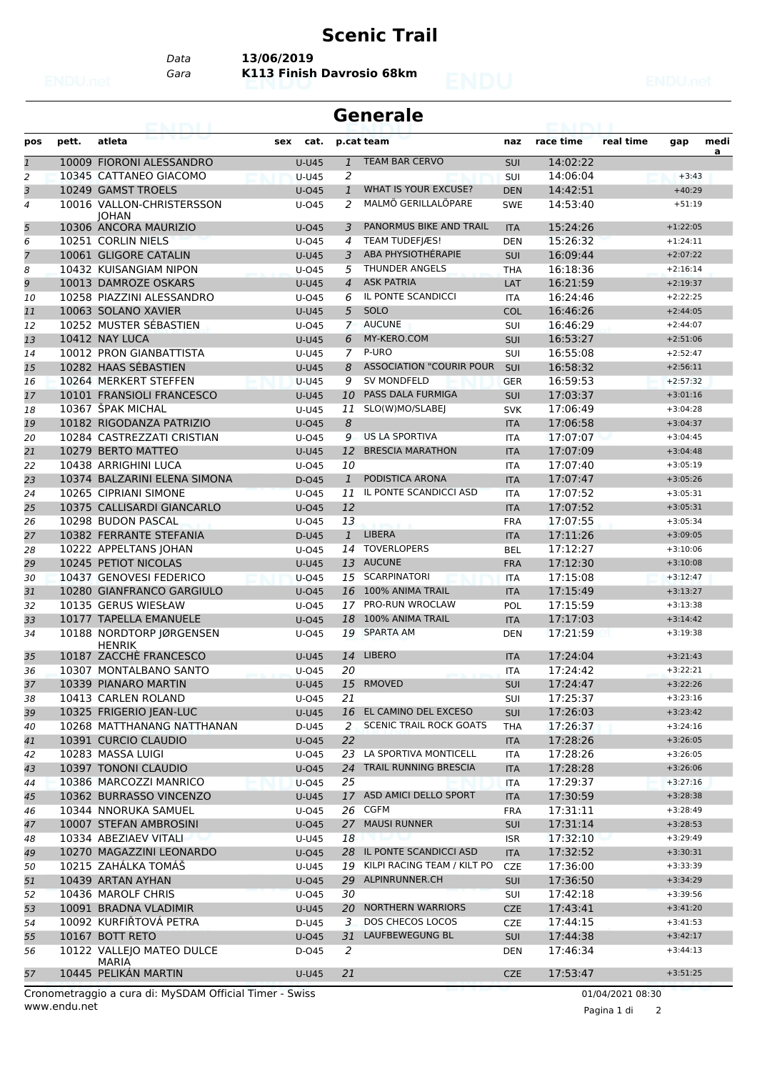## **Scenic Trail**

*Data* **13/06/2019**

*Gara* **K113 Finish Davrosio 68km**

## **Generale**

| pos            | pett. | atleta                                  | sex | cat.         |                | p.cat team                      | naz               | race time | real time | gap        | medi<br>a |
|----------------|-------|-----------------------------------------|-----|--------------|----------------|---------------------------------|-------------------|-----------|-----------|------------|-----------|
| $\mathfrak 1$  |       | 10009 FIORONI ALESSANDRO                |     | $U-U45$      | $\mathbf{1}$   | <b>TEAM BAR CERVO</b>           | SUI               | 14:02:22  |           |            |           |
| 2              |       | 10345 CATTANEO GIACOMO                  |     | <b>U-U45</b> | 2              |                                 | SUI               | 14:06:04  |           | $+3:43$    |           |
| 3              |       | 10249 GAMST TROELS                      |     | $U$ -045     | $\mathbf{1}$   | WHAT IS YOUR EXCUSE?            | <b>DEN</b>        | 14:42:51  |           | $+40:29$   |           |
| $\overline{4}$ |       | 10016 VALLON-CHRISTERSSON               |     | $U$ -045     | 2              | MALMÖ GERILLALÖPARE             | <b>SWE</b>        | 14:53:40  |           | $+51:19$   |           |
| 5              |       | <b>IOHAN</b><br>10306 ANCORA MAURIZIO   |     | $U$ -045     | 3              | PANORMUS BIKE AND TRAIL         | <b>ITA</b>        | 15:24:26  |           | $+1:22:05$ |           |
| 6              |       | 10251 CORLIN NIELS                      |     | U-045        | 4              | TEAM TUDEFJÆS!                  | <b>DEN</b>        | 15:26:32  |           | $+1:24:11$ |           |
| $\overline{7}$ |       | 10061 GLIGORE CATALIN                   |     | <b>U-U45</b> | 3              | ABA PHYSIOTHÉRAPIE              | <b>SUI</b>        | 16:09:44  |           | $+2:07:22$ |           |
| 8              |       | 10432 KUISANGIAM NIPON                  |     | $U$ -045     | 5              | <b>THUNDER ANGELS</b>           | <b>THA</b>        | 16:18:36  |           | $+2:16:14$ |           |
| 9              |       | 10013 DAMROZE OSKARS                    |     | <b>U-U45</b> | $\overline{4}$ | <b>ASK PATRIA</b>               | LAT               | 16:21:59  |           | $+2:19:37$ |           |
| 10             |       | 10258 PIAZZINI ALESSANDRO               |     | U-045        | 6              | IL PONTE SCANDICCI              | <b>ITA</b>        | 16:24:46  |           | $+2:22:25$ |           |
| 11             |       | 10063 SOLANO XAVIER                     |     | <b>U-U45</b> | 5              | SOLO                            | <b>COL</b>        | 16:46:26  |           | $+2:44:05$ |           |
|                |       | 10252 MUSTER SÉBASTIEN                  |     |              | $\mathbf{7}$   | <b>AUCUNE</b>                   |                   | 16:46:29  |           | $+2:44:07$ |           |
| 12             |       | 10412 NAY LUCA                          |     | U-045        | 6              | MY-KERO.COM                     | SUI<br><b>SUI</b> | 16:53:27  |           | $+2:51:06$ |           |
| 13             |       | 10012 PRON GIANBATTISTA                 |     | <b>U-U45</b> | $\overline{7}$ | P-URO                           |                   | 16:55:08  |           | $+2:52:47$ |           |
| 14             |       |                                         |     | U-U45        |                | <b>ASSOCIATION "COURIR POUR</b> | SUI               |           |           |            |           |
| 15             |       | 10282 HAAS SÉBASTIEN                    |     | <b>U-U45</b> | 8              | <b>SV MONDFELD</b>              | SUI               | 16:58:32  |           | $+2:56:11$ |           |
| 16             |       | 10264 MERKERT STEFFEN                   |     | <b>U-U45</b> | 9              |                                 | <b>GER</b>        | 16:59:53  |           | $+2:57:32$ |           |
| 17             |       | 10101 FRANSIOLI FRANCESCO               |     | <b>U-U45</b> | 10             | PASS DALA FURMIGA               | <b>SUI</b>        | 17:03:37  |           | $+3:01:16$ |           |
| 18             |       | 10367 ŠPAK MICHAL                       |     | U-U45        | 11             | SLO(W)MO/SLABEJ                 | <b>SVK</b>        | 17:06:49  |           | $+3:04:28$ |           |
| 19             |       | 10182 RIGODANZA PATRIZIO                |     | U-045        | 8              |                                 | <b>ITA</b>        | 17:06:58  |           | $+3:04:37$ |           |
| 20             |       | 10284 CASTREZZATI CRISTIAN              |     | $U$ -045     | 9              | <b>US LA SPORTIVA</b>           | <b>ITA</b>        | 17:07:07  |           | $+3:04:45$ |           |
| 21             |       | 10279 BERTO MATTEO                      |     | <b>U-U45</b> | 12             | <b>BRESCIA MARATHON</b>         | <b>ITA</b>        | 17:07:09  |           | $+3:04:48$ |           |
| 22             |       | 10438 ARRIGHINI LUCA                    |     | $U$ -045     | 10             |                                 | <b>ITA</b>        | 17:07:40  |           | $+3:05:19$ |           |
| 23             |       | 10374 BALZARINI ELENA SIMONA            |     | D-045        | $\mathbf{1}$   | PODISTICA ARONA                 | <b>ITA</b>        | 17:07:47  |           | $+3:05:26$ |           |
| 24             |       | 10265 CIPRIANI SIMONE                   |     | $U-045$      | 11             | IL PONTE SCANDICCI ASD          | <b>ITA</b>        | 17:07:52  |           | $+3:05:31$ |           |
| 25             |       | 10375 CALLISARDI GIANCARLO              |     | U-045        | 12             |                                 | <b>ITA</b>        | 17:07:52  |           | $+3:05:31$ |           |
| 26             |       | 10298 BUDON PASCAL                      |     | $U$ -045     | 13             |                                 | <b>FRA</b>        | 17:07:55  |           | $+3:05:34$ |           |
| 27             |       | 10382 FERRANTE STEFANIA                 |     | D-U45        | $\mathbf{1}$   | <b>LIBERA</b>                   | <b>ITA</b>        | 17:11:26  |           | $+3:09:05$ |           |
| 28             |       | 10222 APPELTANS JOHAN                   |     | U-045        | 14             | <b>TOVERLOPERS</b>              | <b>BEL</b>        | 17:12:27  |           | $+3:10:06$ |           |
| 29             |       | 10245 PETIOT NICOLAS                    |     | <b>U-U45</b> | 13             | <b>AUCUNE</b>                   | <b>FRA</b>        | 17:12:30  |           | $+3:10:08$ |           |
| 30             |       | 10437 GENOVESI FEDERICO                 |     | U-045        | 15             | SCARPINATORI                    | <b>ITA</b>        | 17:15:08  |           | $+3:12:47$ |           |
| 31             |       | 10280 GIANFRANCO GARGIULO               |     | U-045        | 16             | 100% ANIMA TRAIL                | <b>ITA</b>        | 17:15:49  |           | $+3:13:27$ |           |
| 32             |       | 10135 GERUS WIESŁAW                     |     | $U$ -045     | 17             | PRO-RUN WROCLAW                 | POL               | 17:15:59  |           | $+3:13:38$ |           |
| 33             |       | 10177 TAPELLA EMANUELE                  |     | $U$ -045     | 18             | 100% ANIMA TRAIL                | <b>ITA</b>        | 17:17:03  |           | $+3:14:42$ |           |
| 34             |       | 10188 NORDTORP JØRGENSEN                |     | U-045        | 19             | <b>SPARTA AM</b>                | <b>DEN</b>        | 17:21:59  |           | $+3:19:38$ |           |
| 35             |       | <b>HENRIK</b><br>10187 ZACCHÈ FRANCESCO |     | <b>U-U45</b> |                | 14 LIBERO                       | <b>ITA</b>        | 17:24:04  |           | $+3:21:43$ |           |
| 36             |       | 10307 MONTALBANO SANTO                  |     | $U$ -045     | 20             |                                 | <b>ITA</b>        | 17:24:42  |           | $+3:22:21$ |           |
| 37             |       | 10339 PIANARO MARTIN                    |     | <b>U-U45</b> | 15             | RMOVED                          | <b>SUI</b>        | 17:24:47  |           | $+3:22:26$ |           |
| 38             |       | 10413 CARLEN ROLAND                     |     | U-045        | 21             |                                 | <b>SUI</b>        | 17:25:37  |           | $+3:23:16$ |           |
| 39             |       | 10325 FRIGERIO JEAN-LUC                 |     | U-U45        |                | 16 EL CAMINO DEL EXCESO         | SUI               | 17:26:03  |           | $+3:23:42$ |           |
|                |       | 10268 MATTHANANG NATTHANAN              |     | D-U45        | $\overline{2}$ | <b>SCENIC TRAIL ROCK GOATS</b>  | <b>THA</b>        | 17:26:37  |           | $+3:24:16$ |           |
| 40             |       | 10391 CURCIO CLAUDIO                    |     | $U$ -045     | 22             |                                 |                   | 17:28:26  |           | $+3:26:05$ |           |
| 41             |       | 10283 MASSA LUIGI                       |     | U-045        |                | 23 LA SPORTIVA MONTICELL        | <b>ITA</b>        | 17:28:26  |           | $+3:26:05$ |           |
| 42             |       |                                         |     |              |                | 24 TRAIL RUNNING BRESCIA        | ITA               |           |           | $+3:26:06$ |           |
| 43             |       | 10397 TONONI CLAUDIO                    |     | $U$ -045     |                |                                 | <b>ITA</b>        | 17:28:28  |           |            |           |
| 44             |       | 10386 MARCOZZI MANRICO                  |     | $U$ -045     | 25             |                                 | <b>ITA</b>        | 17:29:37  |           | $+3:27:16$ |           |
| 45             |       | 10362 BURRASSO VINCENZO                 |     | U-U45        |                | 17 ASD AMICI DELLO SPORT        | <b>ITA</b>        | 17:30:59  |           | $+3:28:38$ |           |
| 46             |       | 10344 NNORUKA SAMUEL                    |     | U-045        |                | 26 CGFM                         | <b>FRA</b>        | 17:31:11  |           | $+3:28:49$ |           |
| 47             |       | 10007 STEFAN AMBROSINI                  |     | $U$ -045     |                | 27 MAUSI RUNNER                 | SUI               | 17:31:14  |           | $+3:28:53$ |           |
| 48             |       | 10334 ABEZIAEV VITALI                   |     | U-U45        | 18             |                                 | <b>ISR</b>        | 17:32:10  |           | $+3:29:49$ |           |
| 49             |       | 10270 MAGAZZINI LEONARDO                |     | $U$ -045     | 28             | IL PONTE SCANDICCI ASD          | <b>ITA</b>        | 17:32:52  |           | $+3:30:31$ |           |
| 50             |       | 10215 ZAHÁLKA TOMÁŠ                     |     | U-U45        |                | 19 KILPI RACING TEAM / KILT PO  | <b>CZE</b>        | 17:36:00  |           | $+3:33:39$ |           |
| 51             |       | 10439 ARTAN AYHAN                       |     | U-045        | 29             | ALPINRUNNER.CH                  | SUI               | 17:36:50  |           | $+3:34:29$ |           |
| 52             |       | 10436 MAROLF CHRIS                      |     | $U$ -045     | 30             |                                 | <b>SUI</b>        | 17:42:18  |           | $+3:39:56$ |           |
| 53             |       | 10091 BRADNA VLADIMIR                   |     | U-U45        |                | 20 NORTHERN WARRIORS            | <b>CZE</b>        | 17:43:41  |           | $+3:41:20$ |           |
| 54             |       | 10092 KURFIŘTOVÁ PETRA                  |     | D-U45        | 3              | DOS CHECOS LOCOS                | <b>CZE</b>        | 17:44:15  |           | $+3:41:53$ |           |
| 55             |       | 10167 BOTT RETO                         |     | $U$ -045     | 31             | LAUFBEWEGUNG BL                 | <b>SUI</b>        | 17:44:38  |           | $+3:42:17$ |           |
| 56             |       | 10122 VALLEJO MATEO DULCE               |     | D-045        | 2              |                                 | DEN               | 17:46:34  |           | $+3:44:13$ |           |
| 57             |       | MARIA<br>10445 PELIKAN MARTIN           |     | <b>U-U45</b> | 21             |                                 | <b>CZE</b>        | 17:53:47  |           | $+3:51:25$ |           |
|                |       |                                         |     |              |                |                                 |                   |           |           |            |           |

www.endu.net Cronometraggio a cura di: MySDAM Official Timer - Swiss 01/04/2021 08:30

Pagina 1 di 2